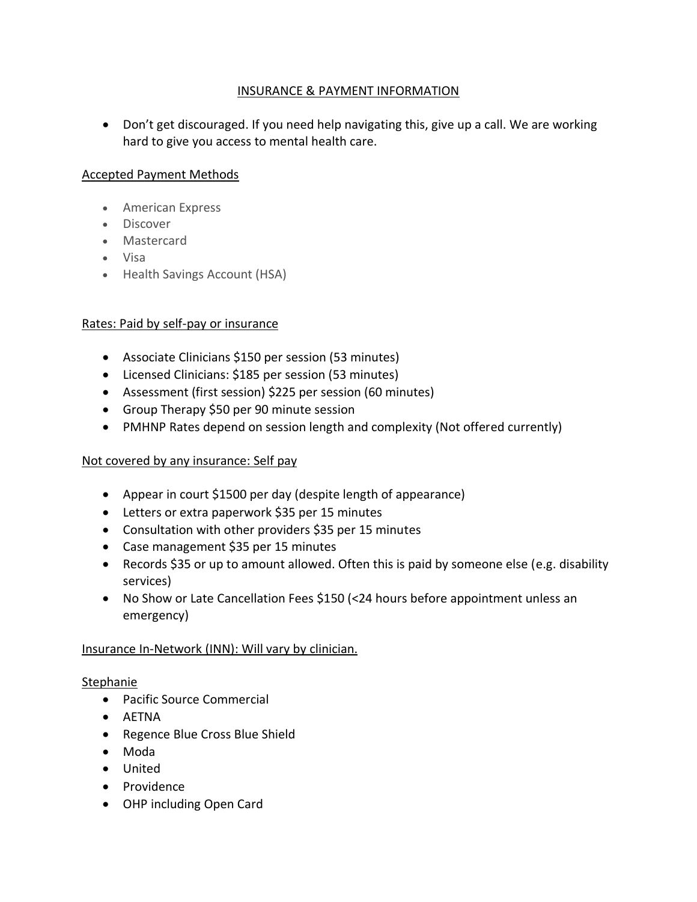# INSURANCE & PAYMENT INFORMATION

• Don't get discouraged. If you need help navigating this, give up a call. We are working hard to give you access to mental health care.

# Accepted Payment Methods

- American Express
- Discover
- Mastercard
- Visa
- Health Savings Account (HSA)

## Rates: Paid by self-pay or insurance

- Associate Clinicians \$150 per session (53 minutes)
- Licensed Clinicians: \$185 per session (53 minutes)
- Assessment (first session) \$225 per session (60 minutes)
- Group Therapy \$50 per 90 minute session
- PMHNP Rates depend on session length and complexity (Not offered currently)

## Not covered by any insurance: Self pay

- Appear in court \$1500 per day (despite length of appearance)
- Letters or extra paperwork \$35 per 15 minutes
- Consultation with other providers \$35 per 15 minutes
- Case management \$35 per 15 minutes
- Records \$35 or up to amount allowed. Often this is paid by someone else (e.g. disability services)
- No Show or Late Cancellation Fees \$150 (<24 hours before appointment unless an emergency)

## Insurance In-Network (INN): Will vary by clinician.

#### Stephanie

- Pacific Source Commercial
- AETNA
- Regence Blue Cross Blue Shield
- Moda
- United
- Providence
- OHP including Open Card